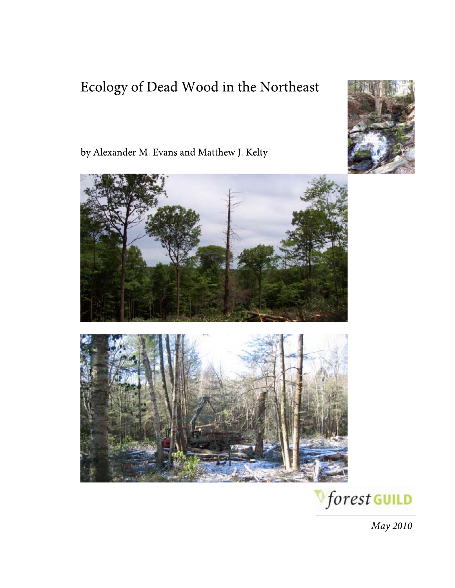# Ecology of Dead Wood in the Northeast



by Alexander M. Evans and Matthew J. Kelty





May 2010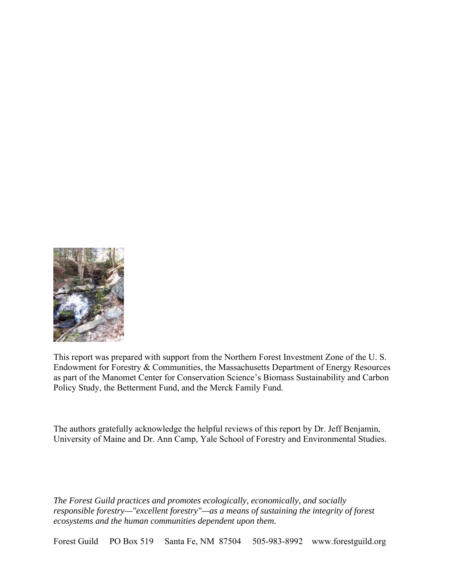

This report was prepared with support from the Northern Forest Investment Zone of the U. S. Endowment for Forestry & Communities, the Massachusetts Department of Energy Resources as part of the Manomet Center for Conservation Science's Biomass Sustainability and Carbon Policy Study, the Betterment Fund, and the Merck Family Fund.

The authors gratefully acknowledge the helpful reviews of this report by Dr. Jeff Benjamin, University of Maine and Dr. Ann Camp, Yale School of Forestry and Environmental Studies.

*The Forest Guild practices and promotes ecologically, economically, and socially responsible forestry—"excellent forestry"—as a means of sustaining the integrity of forest ecosystems and the human communities dependent upon them.* 

Forest Guild PO Box 519 Santa Fe, NM 87504 505-983-8992 www.forestguild.org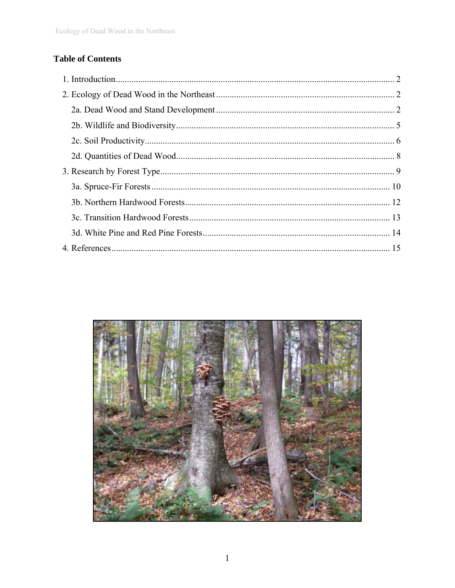# **Table of Contents**

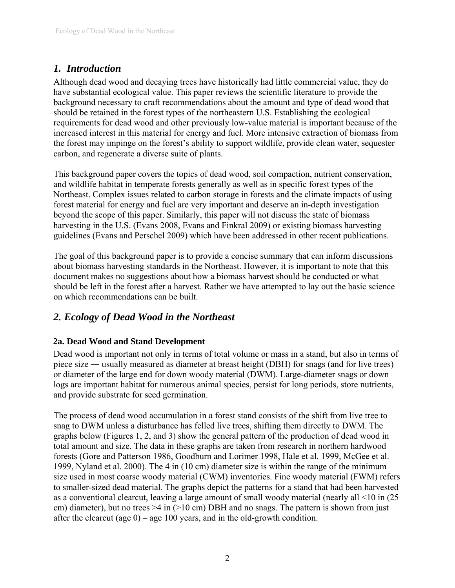# <span id="page-3-0"></span>*1. Introduction*

Although dead wood and decaying trees have historically had little commercial value, they do have substantial ecological value. This paper reviews the scientific literature to provide the background necessary to craft recommendations about the amount and type of dead wood that should be retained in the forest types of the northeastern U.S. Establishing the ecological requirements for dead wood and other previously low-value material is important because of the increased interest in this material for energy and fuel. More intensive extraction of biomass from the forest may impinge on the forest's ability to support wildlife, provide clean water, sequester carbon, and regenerate a diverse suite of plants.

This background paper covers the topics of dead wood, soil compaction, nutrient conservation, and wildlife habitat in temperate forests generally as well as in specific forest types of the Northeast. Complex issues related to carbon storage in forests and the climate impacts of using forest material for energy and fuel are very important and deserve an in-depth investigation beyond the scope of this paper. Similarly, this paper will not discuss the state of biomass harvesting in the U.S. (Evans 2008, Evans and Finkral 2009) or existing biomass harvesting guidelines (Evans and Perschel 2009) which have been addressed in other recent publications.

The goal of this background paper is to provide a concise summary that can inform discussions about biomass harvesting standards in the Northeast. However, it is important to note that this document makes no suggestions about how a biomass harvest should be conducted or what should be left in the forest after a harvest. Rather we have attempted to lay out the basic science on which recommendations can be built.

# *2. Ecology of Dead Wood in the Northeast*

## **2a. Dead Wood and Stand Development**

Dead wood is important not only in terms of total volume or mass in a stand, but also in terms of piece size ― usually measured as diameter at breast height (DBH) for snags (and for live trees) or diameter of the large end for down woody material (DWM). Large-diameter snags or down logs are important habitat for numerous animal species, persist for long periods, store nutrients, and provide substrate for seed germination.

The process of dead wood accumulation in a forest stand consists of the shift from live tree to snag to DWM unless a disturbance has felled live trees, shifting them directly to DWM. The graphs below (Figures 1, 2, and 3) show the general pattern of the production of dead wood in total amount and size. The data in these graphs are taken from research in northern hardwood forests (Gore and Patterson 1986, Goodburn and Lorimer 1998, Hale et al. 1999, McGee et al. 1999, Nyland et al. 2000). The 4 in (10 cm) diameter size is within the range of the minimum size used in most coarse woody material (CWM) inventories. Fine woody material (FWM) refers to smaller-sized dead material. The graphs depict the patterns for a stand that had been harvested as a conventional clearcut, leaving a large amount of small woody material (nearly all <10 in (25 cm) diameter), but no trees  $>4$  in ( $>10$  cm) DBH and no snags. The pattern is shown from just after the clearcut (age  $0$ ) – age 100 years, and in the old-growth condition.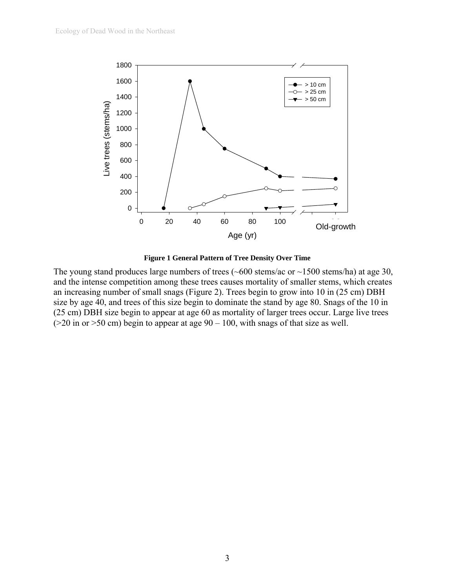



The young stand produces large numbers of trees  $(-600 \text{ stems/ac or } -1500 \text{ stems/ha})$  at age 30, and the intense competition among these trees causes mortality of smaller stems, which creates an increasing number of small snags [\(Figure 2](#page-5-0)). Trees begin to grow into 10 in (25 cm) DBH size by age 40, and trees of this size begin to dominate the stand by age 80. Snags of the 10 in (25 cm) DBH size begin to appear at age 60 as mortality of larger trees occur. Large live trees ( $>$ 20 in or  $>$ 50 cm) begin to appear at age 90 – 100, with snags of that size as well.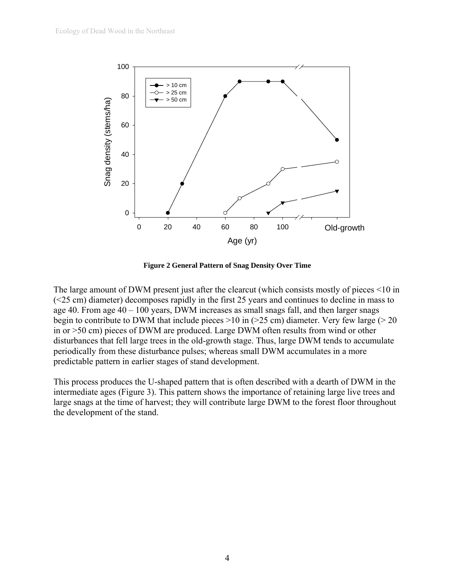

**Figure 2 General Pattern of Snag Density Over Time** 

<span id="page-5-0"></span>The large amount of DWM present just after the clearcut (which consists mostly of pieces <10 in (<25 cm) diameter) decomposes rapidly in the first 25 years and continues to decline in mass to age 40. From age 40 – 100 years, DWM increases as small snags fall, and then larger snags begin to contribute to DWM that include pieces  $>10$  in ( $>25$  cm) diameter. Very few large ( $>20$ in or >50 cm) pieces of DWM are produced. Large DWM often results from wind or other disturbances that fell large trees in the old-growth stage. Thus, large DWM tends to accumulate periodically from these disturbance pulses; whereas small DWM accumulates in a more predictable pattern in earlier stages of stand development.

This process produces the U-shaped pattern that is often described with a dearth of DWM in the intermediate ages [\(Figure 3\)](#page-6-1). This pattern shows the importance of retaining large live trees and large snags at the time of harvest; they will contribute large DWM to the forest floor throughout the development of the stand.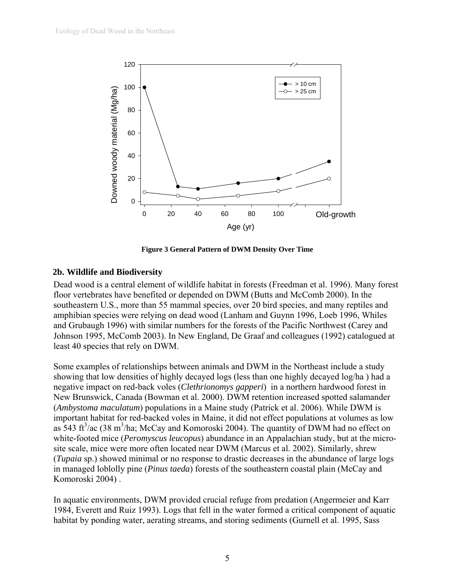<span id="page-6-0"></span>

**Figure 3 General Pattern of DWM Density Over Time** 

#### <span id="page-6-1"></span>**2b. Wildlife and Biodiversity**

Dead wood is a central element of wildlife habitat in forests (Freedman et al. 1996). Many forest floor vertebrates have benefited or depended on DWM (Butts and McComb 2000). In the southeastern U.S., more than 55 mammal species, over 20 bird species, and many reptiles and amphibian species were relying on dead wood (Lanham and Guynn 1996, Loeb 1996, Whiles and Grubaugh 1996) with similar numbers for the forests of the Pacific Northwest (Carey and Johnson 1995, McComb 2003). In New England, De Graaf and colleagues (1992) catalogued at least 40 species that rely on DWM.

Some examples of relationships between animals and DWM in the Northeast include a study showing that low densities of highly decayed logs (less than one highly decayed log/ha ) had a negative impact on red-back voles (*Clethrionomys gapperi*) in a northern hardwood forest in New Brunswick, Canada (Bowman et al. 2000). DWM retention increased spotted salamander (*Ambystoma maculatum*) populations in a Maine study (Patrick et al. 2006). While DWM is important habitat for red-backed voles in Maine, it did not effect populations at volumes as low as 543 ft<sup>3</sup>/ac (38 m<sup>3</sup>/ha; McCay and Komoroski 2004). The quantity of DWM had no effect on white-footed mice (*Peromyscus leucopus*) abundance in an Appalachian study, but at the microsite scale, mice were more often located near DWM (Marcus et al. 2002). Similarly, shrew (*Tupaia* sp.) showed minimal or no response to drastic decreases in the abundance of large logs in managed loblolly pine (*Pinus taeda*) forests of the southeastern coastal plain (McCay and Komoroski 2004) .

In aquatic environments, DWM provided crucial refuge from predation (Angermeier and Karr 1984, Everett and Ruiz 1993). Logs that fell in the water formed a critical component of aquatic habitat by ponding water, aerating streams, and storing sediments (Gurnell et al. 1995, Sass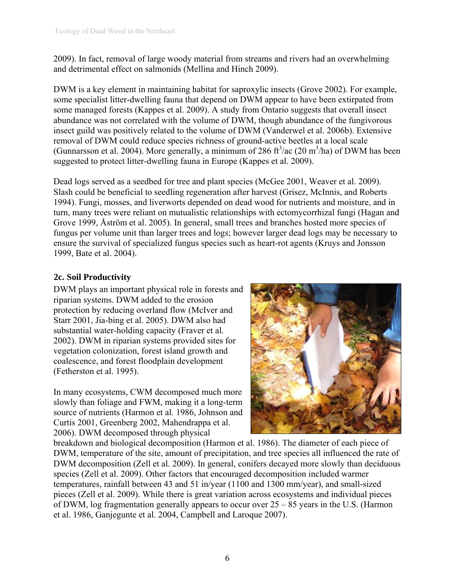<span id="page-7-0"></span>2009). In fact, removal of large woody material from streams and rivers had an overwhelming and detrimental effect on salmonids (Mellina and Hinch 2009).

DWM is a key element in maintaining habitat for saproxylic insects (Grove 2002). For example, some specialist litter-dwelling fauna that depend on DWM appear to have been extirpated from some managed forests (Kappes et al. 2009). A study from Ontario suggests that overall insect abundance was not correlated with the volume of DWM, though abundance of the fungivorous insect guild was positively related to the volume of DWM (Vanderwel et al. 2006b). Extensive removal of DWM could reduce species richness of ground-active beetles at a local scale (Gunnarsson et al. 2004). More generally, a minimum of 286 ft<sup>3</sup>/ac (20 m<sup>3</sup>/ha) of DWM has been suggested to protect litter-dwelling fauna in Europe (Kappes et al. 2009).

Dead logs served as a seedbed for tree and plant species (McGee 2001, Weaver et al. 2009). Slash could be beneficial to seedling regeneration after harvest (Grisez, McInnis, and Roberts 1994). Fungi, mosses, and liverworts depended on dead wood for nutrients and moisture, and in turn, many trees were reliant on mutualistic relationships with ectomycorrhizal fungi (Hagan and Grove 1999, Åström et al. 2005). In general, small trees and branches hosted more species of fungus per volume unit than larger trees and logs; however larger dead logs may be necessary to ensure the survival of specialized fungus species such as heart-rot agents (Kruys and Jonsson 1999, Bate et al. 2004).

## **2c. Soil Productivity**

DWM plays an important physical role in forests and riparian systems. DWM added to the erosion protection by reducing overland flow (McIver and Starr 2001, Jia-bing et al. 2005). DWM also had substantial water-holding capacity (Fraver et al. 2002). DWM in riparian systems provided sites for vegetation colonization, forest island growth and coalescence, and forest floodplain development (Fetherston et al. 1995).

In many ecosystems, CWM decomposed much more slowly than foliage and FWM, making it a long-term source of nutrients (Harmon et al. 1986, Johnson and Curtis 2001, Greenberg 2002, Mahendrappa et al. 2006). DWM decomposed through physical



breakdown and biological decomposition (Harmon et al. 1986). The diameter of each piece of DWM, temperature of the site, amount of precipitation, and tree species all influenced the rate of DWM decomposition (Zell et al. 2009). In general, conifers decayed more slowly than deciduous species (Zell et al. 2009). Other factors that encouraged decomposition included warmer temperatures, rainfall between 43 and 51 in/year (1100 and 1300 mm/year), and small-sized pieces (Zell et al. 2009). While there is great variation across ecosystems and individual pieces of DWM, log fragmentation generally appears to occur over 25 – 85 years in the U.S. (Harmon et al. 1986, Ganjegunte et al. 2004, Campbell and Laroque 2007).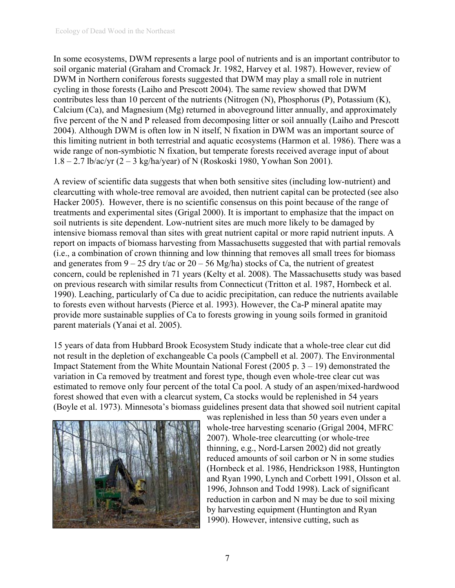In some ecosystems, DWM represents a large pool of nutrients and is an important contributor to soil organic material (Graham and Cromack Jr. 1982, Harvey et al. 1987). However, review of DWM in Northern coniferous forests suggested that DWM may play a small role in nutrient cycling in those forests (Laiho and Prescott 2004). The same review showed that DWM contributes less than 10 percent of the nutrients (Nitrogen (N), Phosphorus (P), Potassium (K), Calcium (Ca), and Magnesium (Mg) returned in aboveground litter annually, and approximately five percent of the N and P released from decomposing litter or soil annually (Laiho and Prescott 2004). Although DWM is often low in N itself, N fixation in DWM was an important source of this limiting nutrient in both terrestrial and aquatic ecosystems (Harmon et al. 1986). There was a wide range of non-symbiotic N fixation, but temperate forests received average input of about 1.8 – 2.7 lb/ac/yr (2 – 3 kg/ha/year) of N (Roskoski 1980, Yowhan Son 2001).

A review of scientific data suggests that when both sensitive sites (including low-nutrient) and clearcutting with whole-tree removal are avoided, then nutrient capital can be protected (see also Hacker 2005). However, there is no scientific consensus on this point because of the range of treatments and experimental sites (Grigal 2000). It is important to emphasize that the impact on soil nutrients is site dependent. Low-nutrient sites are much more likely to be damaged by intensive biomass removal than sites with great nutrient capital or more rapid nutrient inputs. A report on impacts of biomass harvesting from Massachusetts suggested that with partial removals (i.e., a combination of crown thinning and low thinning that removes all small trees for biomass and generates from  $9 - 25$  dry t/ac or  $20 - 56$  Mg/ha) stocks of Ca, the nutrient of greatest concern, could be replenished in 71 years (Kelty et al. 2008). The Massachusetts study was based on previous research with similar results from Connecticut (Tritton et al. 1987, Hornbeck et al. 1990). Leaching, particularly of Ca due to acidic precipitation, can reduce the nutrients available to forests even without harvests (Pierce et al. 1993). However, the Ca-P mineral apatite may provide more sustainable supplies of Ca to forests growing in young soils formed in granitoid parent materials (Yanai et al. 2005).

15 years of data from Hubbard Brook Ecosystem Study indicate that a whole-tree clear cut did not result in the depletion of exchangeable Ca pools (Campbell et al. 2007). The Environmental Impact Statement from the White Mountain National Forest (2005 p.  $3 - 19$ ) demonstrated the variation in Ca removed by treatment and forest type, though even whole-tree clear cut was estimated to remove only four percent of the total Ca pool. A study of an aspen/mixed-hardwood forest showed that even with a clearcut system, Ca stocks would be replenished in 54 years (Boyle et al. 1973). Minnesota's biomass guidelines present data that showed soil nutrient capital



was replenished in less than 50 years even under a whole-tree harvesting scenario (Grigal 2004, MFRC 2007). Whole-tree clearcutting (or whole-tree thinning, e.g., Nord-Larsen 2002) did not greatly reduced amounts of soil carbon or N in some studies (Hornbeck et al. 1986, Hendrickson 1988, Huntington and Ryan 1990, Lynch and Corbett 1991, Olsson et al. 1996, Johnson and Todd 1998). Lack of significant reduction in carbon and N may be due to soil mixing by harvesting equipment (Huntington and Ryan 1990). However, intensive cutting, such as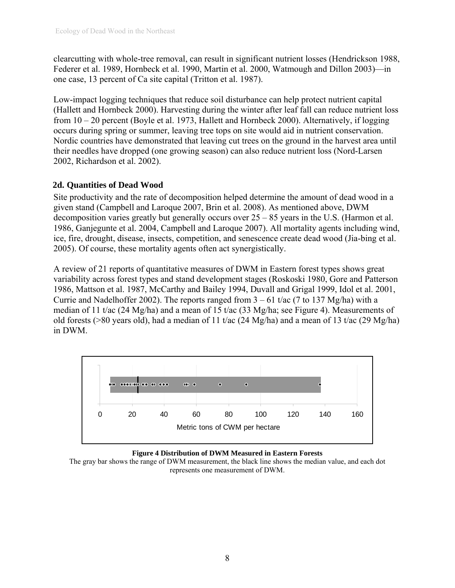<span id="page-9-0"></span>clearcutting with whole-tree removal, can result in significant nutrient losses (Hendrickson 1988, Federer et al. 1989, Hornbeck et al. 1990, Martin et al. 2000, Watmough and Dillon 2003)—in one case, 13 percent of Ca site capital (Tritton et al. 1987).

Low-impact logging techniques that reduce soil disturbance can help protect nutrient capital (Hallett and Hornbeck 2000). Harvesting during the winter after leaf fall can reduce nutrient loss from 10 – 20 percent (Boyle et al. 1973, Hallett and Hornbeck 2000). Alternatively, if logging occurs during spring or summer, leaving tree tops on site would aid in nutrient conservation. Nordic countries have demonstrated that leaving cut trees on the ground in the harvest area until their needles have dropped (one growing season) can also reduce nutrient loss (Nord-Larsen 2002, Richardson et al. 2002).

### **2d. Quantities of Dead Wood**

Site productivity and the rate of decomposition helped determine the amount of dead wood in a given stand (Campbell and Laroque 2007, Brin et al. 2008). As mentioned above, DWM decomposition varies greatly but generally occurs over  $25 - 85$  years in the U.S. (Harmon et al. 1986, Ganjegunte et al. 2004, Campbell and Laroque 2007). All mortality agents including wind, ice, fire, drought, disease, insects, competition, and senescence create dead wood (Jia-bing et al. 2005). Of course, these mortality agents often act synergistically.

A review of 21 reports of quantitative measures of DWM in Eastern forest types shows great variability across forest types and stand development stages (Roskoski 1980, Gore and Patterson 1986, Mattson et al. 1987, McCarthy and Bailey 1994, Duvall and Grigal 1999, Idol et al. 2001, Currie and Nadelhoffer 2002). The reports ranged from  $3 - 61$  t/ac (7 to 137 Mg/ha) with a median of 11 t/ac (24 Mg/ha) and a mean of 15 t/ac (33 Mg/ha; see [Figure 4](#page-9-1)). Measurements of old forests (>80 years old), had a median of 11 t/ac (24 Mg/ha) and a mean of 13 t/ac (29 Mg/ha) in DWM.





<span id="page-9-1"></span>The gray bar shows the range of DWM measurement, the black line shows the median value, and each dot represents one measurement of DWM.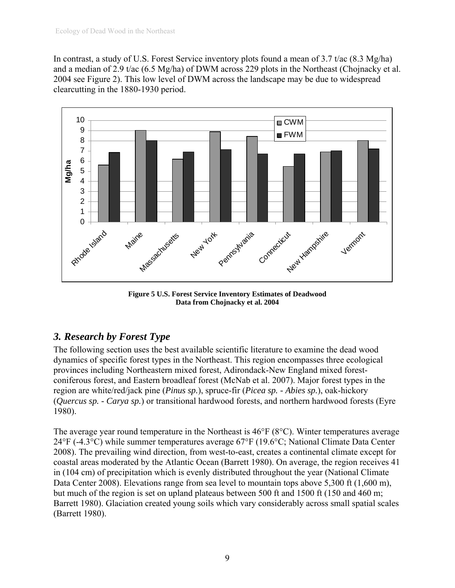<span id="page-10-0"></span>In contrast, a study of U.S. Forest Service inventory plots found a mean of 3.7 t/ac (8.3 Mg/ha) and a median of 2.9 t/ac (6.5 Mg/ha) of DWM across 229 plots in the Northeast (Chojnacky et al. 2004 see Figure 2). This low level of DWM across the landscape may be due to widespread clearcutting in the 1880-1930 period.



**Figure 5 U.S. Forest Service Inventory Estimates of Deadwood Data from Chojnacky et al. 2004** 

# *3. Research by Forest Type*

The following section uses the best available scientific literature to examine the dead wood dynamics of specific forest types in the Northeast. This region encompasses three ecological provinces including Northeastern mixed forest, Adirondack-New England mixed forestconiferous forest, and Eastern broadleaf forest (McNab et al. 2007). Major forest types in the region are white/red/jack pine (*Pinus sp.*), spruce-fir (*Picea sp. - Abies sp.*), oak-hickory (*Quercus sp. - Carya sp.*) or transitional hardwood forests, and northern hardwood forests (Eyre 1980).

The average year round temperature in the Northeast is 46°F (8°C). Winter temperatures average 24°F (-4.3°C) while summer temperatures average 67°F (19.6°C; National Climate Data Center 2008). The prevailing wind direction, from west-to-east, creates a continental climate except for coastal areas moderated by the Atlantic Ocean (Barrett 1980). On average, the region receives 41 in (104 cm) of precipitation which is evenly distributed throughout the year (National Climate Data Center 2008). Elevations range from sea level to mountain tops above 5,300 ft (1,600 m), but much of the region is set on upland plateaus between 500 ft and 1500 ft (150 and 460 m; Barrett 1980). Glaciation created young soils which vary considerably across small spatial scales (Barrett 1980).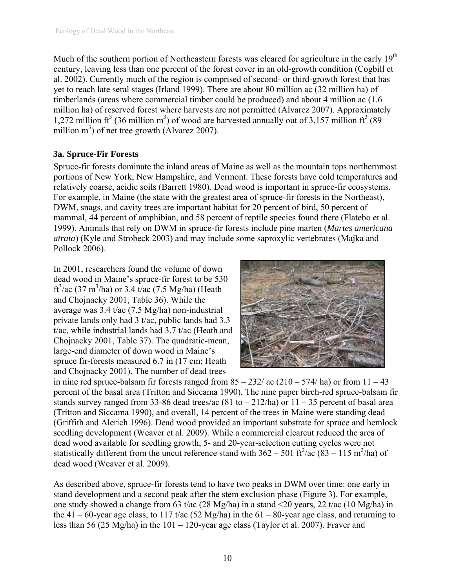<span id="page-11-0"></span>Much of the southern portion of Northeastern forests was cleared for agriculture in the early 19<sup>th</sup> century, leaving less than one percent of the forest cover in an old-growth condition (Cogbill et al. 2002). Currently much of the region is comprised of second- or third-growth forest that has yet to reach late seral stages (Irland 1999). There are about 80 million ac (32 million ha) of timberlands (areas where commercial timber could be produced) and about 4 million ac (1.6 million ha) of reserved forest where harvests are not permitted (Alvarez 2007). Approximately 1,272 million  $ft^3$  (36 million m<sup>3</sup>) of wood are harvested annually out of 3,157 million  $ft^3$  (89 million  $m<sup>3</sup>$ ) of net tree growth (Alvarez 2007).

#### **3a. Spruce-Fir Forests**

Spruce-fir forests dominate the inland areas of Maine as well as the mountain tops northernmost portions of New York, New Hampshire, and Vermont. These forests have cold temperatures and relatively coarse, acidic soils (Barrett 1980). Dead wood is important in spruce-fir ecosystems. For example, in Maine (the state with the greatest area of spruce-fir forests in the Northeast), DWM, snags, and cavity trees are important habitat for 20 percent of bird, 50 percent of mammal, 44 percent of amphibian, and 58 percent of reptile species found there (Flatebo et al. 1999). Animals that rely on DWM in spruce-fir forests include pine marten (*Martes americana atrata*) (Kyle and Strobeck 2003) and may include some saproxylic vertebrates (Majka and Pollock 2006).

In 2001, researchers found the volume of down dead wood in Maine's spruce-fir forest to be 530 ft<sup>3</sup>/ac (37 m<sup>3</sup>/ha) or 3.4 t/ac (7.5 Mg/ha) (Heath and Chojnacky 2001, Table 36). While the average was 3.4 t/ac (7.5 Mg/ha) non-industrial private lands only had 3 t/ac, public lands had 3.3 t/ac, while industrial lands had 3.7 t/ac (Heath and Chojnacky 2001, Table 37). The quadratic-mean, large-end diameter of down wood in Maine's spruce fir-forests measured 6.7 in (17 cm; Heath and Chojnacky 2001). The number of dead trees



in nine red spruce-balsam fir forests ranged from  $85 - 232/$  ac  $(210 - 574/$  ha) or from  $11 - 43$ percent of the basal area (Tritton and Siccama 1990). The nine paper birch-red spruce-balsam fir stands survey ranged from 33-86 dead trees/ac  $(81 \text{ to } -212/\text{ha})$  or  $11 - 35$  percent of basal area (Tritton and Siccama 1990), and overall, 14 percent of the trees in Maine were standing dead (Griffith and Alerich 1996). Dead wood provided an important substrate for spruce and hemlock seedling development (Weaver et al. 2009). While a commercial clearcut reduced the area of dead wood available for seedling growth, 5- and 20-year-selection cutting cycles were not statistically different from the uncut reference stand with  $362 - 501$  ft<sup>2</sup>/ac (83 – 115 m<sup>2</sup>/ha) of dead wood (Weaver et al. 2009).

As described above, spruce-fir forests tend to have two peaks in DWM over time: one early in stand development and a second peak after the stem exclusion phase ([Figure 3\)](#page-6-1). For example, one study showed a change from 63 t/ac (28 Mg/ha) in a stand <20 years, 22 t/ac (10 Mg/ha) in the 41 – 60-year age class, to 117 t/ac (52 Mg/ha) in the 61 – 80-year age class, and returning to less than 56 (25 Mg/ha) in the 101 – 120-year age class (Taylor et al. 2007). Fraver and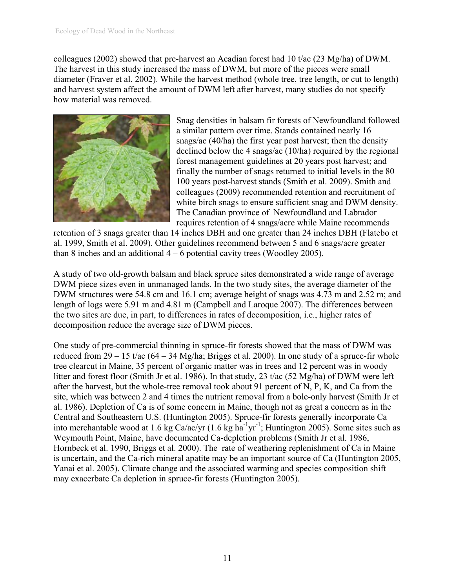colleagues (2002) showed that pre-harvest an Acadian forest had 10 t/ac (23 Mg/ha) of DWM. The harvest in this study increased the mass of DWM, but more of the pieces were small diameter (Fraver et al. 2002). While the harvest method (whole tree, tree length, or cut to length) and harvest system affect the amount of DWM left after harvest, many studies do not specify how material was removed.



Snag densities in balsam fir forests of Newfoundland followed a similar pattern over time. Stands contained nearly 16 snags/ac (40/ha) the first year post harvest; then the density declined below the 4 snags/ac (10/ha) required by the regional forest management guidelines at 20 years post harvest; and finally the number of snags returned to initial levels in the 80 – 100 years post-harvest stands (Smith et al. 2009). Smith and colleagues (2009) recommended retention and recruitment of white birch snags to ensure sufficient snag and DWM density. The Canadian province of Newfoundland and Labrador requires retention of 4 snags/acre while Maine recommends

retention of 3 snags greater than 14 inches DBH and one greater than 24 inches DBH (Flatebo et al. 1999, Smith et al. 2009). Other guidelines recommend between 5 and 6 snags/acre greater than 8 inches and an additional  $4 - 6$  potential cavity trees (Woodley 2005).

A study of two old-growth balsam and black spruce sites demonstrated a wide range of average DWM piece sizes even in unmanaged lands. In the two study sites, the average diameter of the DWM structures were 54.8 cm and 16.1 cm; average height of snags was 4.73 m and 2.52 m; and length of logs were 5.91 m and 4.81 m (Campbell and Laroque 2007). The differences between the two sites are due, in part, to differences in rates of decomposition, i.e., higher rates of decomposition reduce the average size of DWM pieces.

One study of pre-commercial thinning in spruce-fir forests showed that the mass of DWM was reduced from  $29 - 15$  t/ac  $(64 - 34 \text{ Mg/ha})$ ; Briggs et al. 2000). In one study of a spruce-fir whole tree clearcut in Maine, 35 percent of organic matter was in trees and 12 percent was in woody litter and forest floor (Smith Jr et al. 1986). In that study, 23 t/ac (52 Mg/ha) of DWM were left after the harvest, but the whole-tree removal took about 91 percent of N, P, K, and Ca from the site, which was between 2 and 4 times the nutrient removal from a bole-only harvest (Smith Jr et al. 1986). Depletion of Ca is of some concern in Maine, though not as great a concern as in the Central and Southeastern U.S. (Huntington 2005). Spruce-fir forests generally incorporate Ca into merchantable wood at 1.6 kg Ca/ac/yr  $(1.6 \text{ kg ha}^{-1} \text{yr}^{-1})$ ; Huntington 2005). Some sites such as Weymouth Point, Maine, have documented Ca-depletion problems (Smith Jr et al. 1986, Hornbeck et al. 1990, Briggs et al. 2000). The rate of weathering replenishment of Ca in Maine is uncertain, and the Ca-rich mineral apatite may be an important source of Ca (Huntington 2005, Yanai et al. 2005). Climate change and the associated warming and species composition shift may exacerbate Ca depletion in spruce-fir forests (Huntington 2005).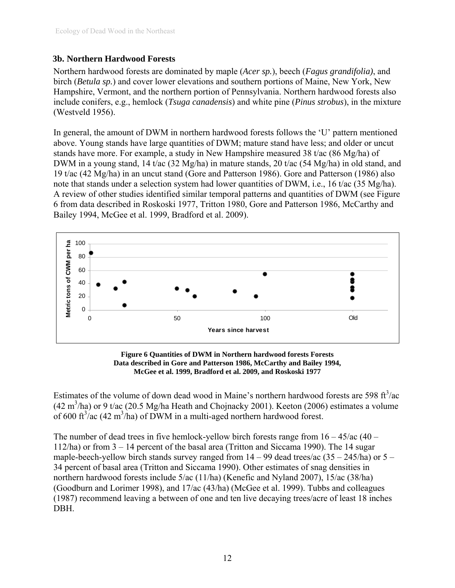#### <span id="page-13-0"></span>**3b. Northern Hardwood Forests**

Northern hardwood forests are dominated by maple (*Acer sp.*), beech (*Fagus grandifolia)*, and birch (*Betula sp.*) and cover lower elevations and southern portions of Maine, New York, New Hampshire, Vermont, and the northern portion of Pennsylvania. Northern hardwood forests also include conifers, e.g., hemlock (*Tsuga canadensis*) and white pine (*Pinus strobus*), in the mixture (Westveld 1956).

In general, the amount of DWM in northern hardwood forests follows the 'U' pattern mentioned above. Young stands have large quantities of DWM; mature stand have less; and older or uncut stands have more. For example, a study in New Hampshire measured 38 t/ac (86 Mg/ha) of DWM in a young stand, 14 t/ac (32 Mg/ha) in mature stands, 20 t/ac (54 Mg/ha) in old stand, and 19 t/ac (42 Mg/ha) in an uncut stand (Gore and Patterson 1986). Gore and Patterson (1986) also note that stands under a selection system had lower quantities of DWM, i.e., 16 t/ac (35 Mg/ha). A review of other studies identified similar temporal patterns and quantities of DWM (see [Figure](#page-13-1)  [6](#page-13-1) from data described in Roskoski 1977, Tritton 1980, Gore and Patterson 1986, McCarthy and Bailey 1994, McGee et al. 1999, Bradford et al. 2009).





<span id="page-13-1"></span>Estimates of the volume of down dead wood in Maine's northern hardwood forests are 598 ft $\frac{3}{ac}$  $(42 \text{ m}^3/\text{ha})$  or 9 t/ac (20.5 Mg/ha Heath and Chojnacky 2001). Keeton (2006) estimates a volume of 600 ft<sup>3</sup>/ac (42 m<sup>3</sup>/ha) of DWM in a multi-aged northern hardwood forest.

The number of dead trees in five hemlock-yellow birch forests range from  $16 - 45/ac(40 -$ 112/ha) or from 3 – 14 percent of the basal area (Tritton and Siccama 1990). The 14 sugar maple-beech-yellow birch stands survey ranged from  $14 - 99$  dead trees/ac  $(35 - 245/ha)$  or  $5 -$ 34 percent of basal area (Tritton and Siccama 1990). Other estimates of snag densities in northern hardwood forests include 5/ac (11/ha) (Kenefic and Nyland 2007), 15/ac (38/ha) (Goodburn and Lorimer 1998), and 17/ac (43/ha) (McGee et al. 1999). Tubbs and colleagues (1987) recommend leaving a between of one and ten live decaying trees/acre of least 18 inches DBH.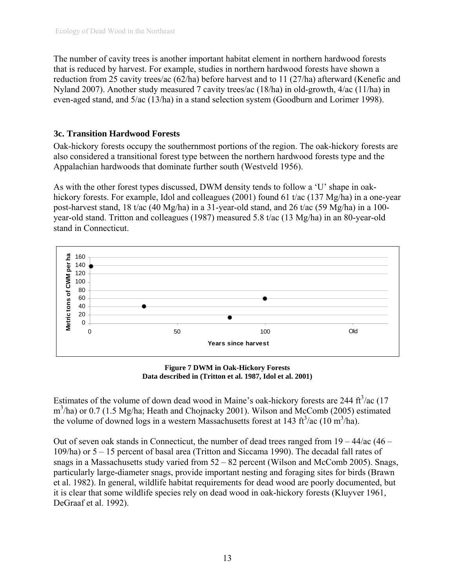<span id="page-14-0"></span>The number of cavity trees is another important habitat element in northern hardwood forests that is reduced by harvest. For example, studies in northern hardwood forests have shown a reduction from 25 cavity trees/ac (62/ha) before harvest and to 11 (27/ha) afterward (Kenefic and Nyland 2007). Another study measured 7 cavity trees/ac (18/ha) in old-growth, 4/ac (11/ha) in even-aged stand, and 5/ac (13/ha) in a stand selection system (Goodburn and Lorimer 1998).

#### **3c. Transition Hardwood Forests**

Oak-hickory forests occupy the southernmost portions of the region. The oak-hickory forests are also considered a transitional forest type between the northern hardwood forests type and the Appalachian hardwoods that dominate further south (Westveld 1956).

As with the other forest types discussed, DWM density tends to follow a 'U' shape in oakhickory forests. For example, Idol and colleagues (2001) found 61 t/ac (137 Mg/ha) in a one-year post-harvest stand, 18 t/ac (40 Mg/ha) in a 31-year-old stand, and 26 t/ac (59 Mg/ha) in a 100 year-old stand. Tritton and colleagues (1987) measured 5.8 t/ac (13 Mg/ha) in an 80-year-old stand in Connecticut.



**Figure 7 DWM in Oak-Hickory Forests Data described in (Tritton et al. 1987, Idol et al. 2001)** 

Estimates of the volume of down dead wood in Maine's oak-hickory forests are 244  $\text{ft}^3/\text{ac}$  (17 m<sup>3</sup>/ha) or 0.7 (1.5 Mg/ha; Heath and Chojnacky 2001). Wilson and McComb (2005) estimated the volume of downed logs in a western Massachusetts forest at 143 ft<sup>3</sup>/ac (10 m<sup>3</sup>/ha).

Out of seven oak stands in Connecticut, the number of dead trees ranged from 19 – 44/ac (46 – 109/ha) or 5 – 15 percent of basal area (Tritton and Siccama 1990). The decadal fall rates of snags in a Massachusetts study varied from 52 – 82 percent (Wilson and McComb 2005). Snags, particularly large-diameter snags, provide important nesting and foraging sites for birds (Brawn et al. 1982). In general, wildlife habitat requirements for dead wood are poorly documented, but it is clear that some wildlife species rely on dead wood in oak-hickory forests (Kluyver 1961, DeGraaf et al. 1992).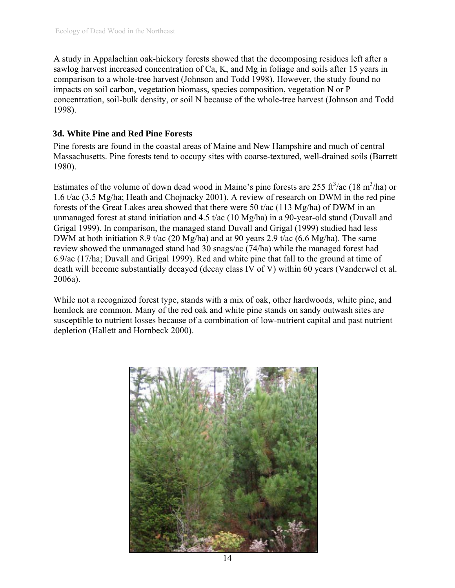<span id="page-15-0"></span>A study in Appalachian oak-hickory forests showed that the decomposing residues left after a sawlog harvest increased concentration of Ca, K, and Mg in foliage and soils after 15 years in comparison to a whole-tree harvest (Johnson and Todd 1998). However, the study found no impacts on soil carbon, vegetation biomass, species composition, vegetation N or P concentration, soil-bulk density, or soil N because of the whole-tree harvest (Johnson and Todd 1998).

#### **3d. White Pine and Red Pine Forests**

Pine forests are found in the coastal areas of Maine and New Hampshire and much of central Massachusetts. Pine forests tend to occupy sites with coarse-textured, well-drained soils (Barrett 1980).

Estimates of the volume of down dead wood in Maine's pine forests are 255 ft $^3$ /ac (18 m $^3$ /ha) or 1.6 t/ac (3.5 Mg/ha; Heath and Chojnacky 2001). A review of research on DWM in the red pine forests of the Great Lakes area showed that there were 50 t/ac (113 Mg/ha) of DWM in an unmanaged forest at stand initiation and 4.5 t/ac (10 Mg/ha) in a 90-year-old stand (Duvall and Grigal 1999). In comparison, the managed stand Duvall and Grigal (1999) studied had less DWM at both initiation 8.9 t/ac (20 Mg/ha) and at 90 years 2.9 t/ac (6.6 Mg/ha). The same review showed the unmanaged stand had 30 snags/ac (74/ha) while the managed forest had 6.9/ac (17/ha; Duvall and Grigal 1999). Red and white pine that fall to the ground at time of death will become substantially decayed (decay class IV of V) within 60 years (Vanderwel et al. 2006a).

While not a recognized forest type, stands with a mix of oak, other hardwoods, white pine, and hemlock are common. Many of the red oak and white pine stands on sandy outwash sites are susceptible to nutrient losses because of a combination of low-nutrient capital and past nutrient depletion (Hallett and Hornbeck 2000).

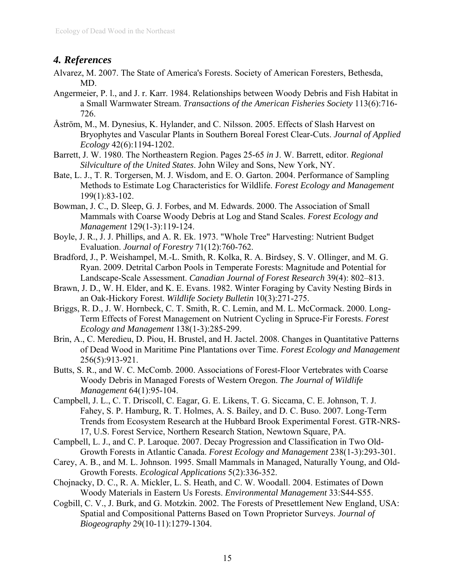## <span id="page-16-0"></span>*4. References*

- Alvarez, M. 2007. The State of America's Forests. Society of American Foresters, Bethesda, MD.
- Angermeier, P. l., and J. r. Karr. 1984. Relationships between Woody Debris and Fish Habitat in a Small Warmwater Stream. *Transactions of the American Fisheries Society* 113(6):716- 726.
- Åström, M., M. Dynesius, K. Hylander, and C. Nilsson. 2005. Effects of Slash Harvest on Bryophytes and Vascular Plants in Southern Boreal Forest Clear-Cuts. *Journal of Applied Ecology* 42(6):1194-1202.
- Barrett, J. W. 1980. The Northeastern Region. Pages 25-65 *in* J. W. Barrett, editor. *Regional Silviculture of the United States*. John Wiley and Sons, New York, NY.
- Bate, L. J., T. R. Torgersen, M. J. Wisdom, and E. O. Garton. 2004. Performance of Sampling Methods to Estimate Log Characteristics for Wildlife. *Forest Ecology and Management* 199(1):83-102.
- Bowman, J. C., D. Sleep, G. J. Forbes, and M. Edwards. 2000. The Association of Small Mammals with Coarse Woody Debris at Log and Stand Scales. *Forest Ecology and Management* 129(1-3):119-124.
- Boyle, J. R., J. J. Phillips, and A. R. Ek. 1973. "Whole Tree" Harvesting: Nutrient Budget Evaluation. *Journal of Forestry* 71(12):760-762.
- Bradford, J., P. Weishampel, M.-L. Smith, R. Kolka, R. A. Birdsey, S. V. Ollinger, and M. G. Ryan. 2009. Detrital Carbon Pools in Temperate Forests: Magnitude and Potential for Landscape-Scale Assessment. *Canadian Journal of Forest Research* 39(4): 802–813.
- Brawn, J. D., W. H. Elder, and K. E. Evans. 1982. Winter Foraging by Cavity Nesting Birds in an Oak-Hickory Forest. *Wildlife Society Bulletin* 10(3):271-275.
- Briggs, R. D., J. W. Hornbeck, C. T. Smith, R. C. Lemin, and M. L. McCormack. 2000. Long-Term Effects of Forest Management on Nutrient Cycling in Spruce-Fir Forests. *Forest Ecology and Management* 138(1-3):285-299.
- Brin, A., C. Meredieu, D. Piou, H. Brustel, and H. Jactel. 2008. Changes in Quantitative Patterns of Dead Wood in Maritime Pine Plantations over Time. *Forest Ecology and Management* 256(5):913-921.
- Butts, S. R., and W. C. McComb. 2000. Associations of Forest-Floor Vertebrates with Coarse Woody Debris in Managed Forests of Western Oregon. *The Journal of Wildlife Management* 64(1):95-104.
- Campbell, J. L., C. T. Driscoll, C. Eagar, G. E. Likens, T. G. Siccama, C. E. Johnson, T. J. Fahey, S. P. Hamburg, R. T. Holmes, A. S. Bailey, and D. C. Buso. 2007. Long-Term Trends from Ecosystem Research at the Hubbard Brook Experimental Forest. GTR-NRS-17, U.S. Forest Service, Northern Research Station, Newtown Square, PA.
- Campbell, L. J., and C. P. Laroque. 2007. Decay Progression and Classification in Two Old-Growth Forests in Atlantic Canada. *Forest Ecology and Management* 238(1-3):293-301.
- Carey, A. B., and M. L. Johnson. 1995. Small Mammals in Managed, Naturally Young, and Old-Growth Forests. *Ecological Applications* 5(2):336-352.
- Chojnacky, D. C., R. A. Mickler, L. S. Heath, and C. W. Woodall. 2004. Estimates of Down Woody Materials in Eastern Us Forests. *Environmental Management* 33:S44-S55.
- Cogbill, C. V., J. Burk, and G. Motzkin. 2002. The Forests of Presettlement New England, USA: Spatial and Compositional Patterns Based on Town Proprietor Surveys. *Journal of Biogeography* 29(10-11):1279-1304.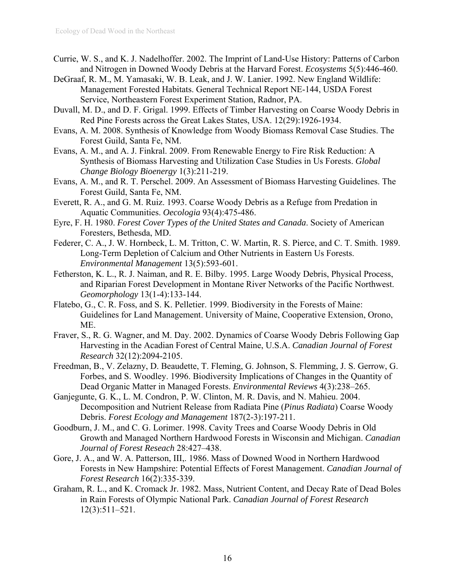- Currie, W. S., and K. J. Nadelhoffer. 2002. The Imprint of Land-Use History: Patterns of Carbon and Nitrogen in Downed Woody Debris at the Harvard Forest. *Ecosystems* 5(5):446-460.
- DeGraaf, R. M., M. Yamasaki, W. B. Leak, and J. W. Lanier. 1992. New England Wildlife: Management Forested Habitats. General Technical Report NE-144, USDA Forest Service, Northeastern Forest Experiment Station, Radnor, PA.
- Duvall, M. D., and D. F. Grigal. 1999. Effects of Timber Harvesting on Coarse Woody Debris in Red Pine Forests across the Great Lakes States, USA. 12(29):1926-1934.
- Evans, A. M. 2008. Synthesis of Knowledge from Woody Biomass Removal Case Studies. The Forest Guild, Santa Fe, NM.
- Evans, A. M., and A. J. Finkral. 2009. From Renewable Energy to Fire Risk Reduction: A Synthesis of Biomass Harvesting and Utilization Case Studies in Us Forests. *Global Change Biology Bioenergy* 1(3):211-219.
- Evans, A. M., and R. T. Perschel. 2009. An Assessment of Biomass Harvesting Guidelines. The Forest Guild, Santa Fe, NM.
- Everett, R. A., and G. M. Ruiz. 1993. Coarse Woody Debris as a Refuge from Predation in Aquatic Communities. *Oecologia* 93(4):475-486.
- Eyre, F. H. 1980. *Forest Cover Types of the United States and Canada*. Society of American Foresters, Bethesda, MD.
- Federer, C. A., J. W. Hornbeck, L. M. Tritton, C. W. Martin, R. S. Pierce, and C. T. Smith. 1989. Long-Term Depletion of Calcium and Other Nutrients in Eastern Us Forests. *Environmental Management* 13(5):593-601.
- Fetherston, K. L., R. J. Naiman, and R. E. Bilby. 1995. Large Woody Debris, Physical Process, and Riparian Forest Development in Montane River Networks of the Pacific Northwest. *Geomorphology* 13(1-4):133-144.
- Flatebo, G., C. R. Foss, and S. K. Pelletier. 1999. Biodiversity in the Forests of Maine: Guidelines for Land Management. University of Maine, Cooperative Extension, Orono, ME.
- Fraver, S., R. G. Wagner, and M. Day. 2002. Dynamics of Coarse Woody Debris Following Gap Harvesting in the Acadian Forest of Central Maine, U.S.A. *Canadian Journal of Forest Research* 32(12):2094-2105.
- Freedman, B., V. Zelazny, D. Beaudette, T. Fleming, G. Johnson, S. Flemming, J. S. Gerrow, G. Forbes, and S. Woodley. 1996. Biodiversity Implications of Changes in the Quantity of Dead Organic Matter in Managed Forests. *Environmental Reviews* 4(3):238–265.
- Ganjegunte, G. K., L. M. Condron, P. W. Clinton, M. R. Davis, and N. Mahieu. 2004. Decomposition and Nutrient Release from Radiata Pine (*Pinus Radiata*) Coarse Woody Debris. *Forest Ecology and Management* 187(2-3):197-211.
- Goodburn, J. M., and C. G. Lorimer. 1998. Cavity Trees and Coarse Woody Debris in Old Growth and Managed Northern Hardwood Forests in Wisconsin and Michigan. *Canadian Journal of Forest Reseach* 28:427–438.
- Gore, J. A., and W. A. Patterson, III,. 1986. Mass of Downed Wood in Northern Hardwood Forests in New Hampshire: Potential Effects of Forest Management. *Canadian Journal of Forest Research* 16(2):335-339.
- Graham, R. L., and K. Cromack Jr. 1982. Mass, Nutrient Content, and Decay Rate of Dead Boles in Rain Forests of Olympic National Park. *Canadian Journal of Forest Research* 12(3):511–521.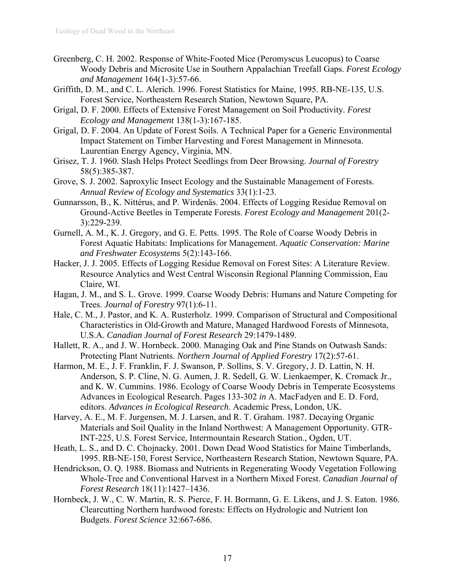- Greenberg, C. H. 2002. Response of White-Footed Mice (Peromyscus Leucopus) to Coarse Woody Debris and Microsite Use in Southern Appalachian Treefall Gaps. *Forest Ecology and Management* 164(1-3):57-66.
- Griffith, D. M., and C. L. Alerich. 1996. Forest Statistics for Maine, 1995. RB-NE-135, U.S. Forest Service, Northeastern Research Station, Newtown Square, PA.
- Grigal, D. F. 2000. Effects of Extensive Forest Management on Soil Productivity. *Forest Ecology and Management* 138(1-3):167-185.
- Grigal, D. F. 2004. An Update of Forest Soils. A Technical Paper for a Generic Environmental Impact Statement on Timber Harvesting and Forest Management in Minnesota. Laurentian Energy Agency, Virginia, MN.
- Grisez, T. J. 1960. Slash Helps Protect Seedlings from Deer Browsing. *Journal of Forestry* 58(5):385-387.
- Grove, S. J. 2002. Saproxylic Insect Ecology and the Sustainable Management of Forests. *Annual Review of Ecology and Systematics* 33(1):1-23.
- Gunnarsson, B., K. Nittérus, and P. Wirdenäs. 2004. Effects of Logging Residue Removal on Ground-Active Beetles in Temperate Forests. *Forest Ecology and Management* 201(2- 3):229-239.
- Gurnell, A. M., K. J. Gregory, and G. E. Petts. 1995. The Role of Coarse Woody Debris in Forest Aquatic Habitats: Implications for Management. *Aquatic Conservation: Marine and Freshwater Ecosystems* 5(2):143-166.
- Hacker, J. J. 2005. Effects of Logging Residue Removal on Forest Sites: A Literature Review. Resource Analytics and West Central Wisconsin Regional Planning Commission, Eau Claire, WI.
- Hagan, J. M., and S. L. Grove. 1999. Coarse Woody Debris: Humans and Nature Competing for Trees. *Journal of Forestry* 97(1):6-11.
- Hale, C. M., J. Pastor, and K. A. Rusterholz. 1999. Comparison of Structural and Compositional Characteristics in Old-Growth and Mature, Managed Hardwood Forests of Minnesota, U.S.A. *Canadian Journal of Forest Research* 29:1479-1489.
- Hallett, R. A., and J. W. Hornbeck. 2000. Managing Oak and Pine Stands on Outwash Sands: Protecting Plant Nutrients. *Northern Journal of Applied Forestry* 17(2):57-61.
- Harmon, M. E., J. F. Franklin, F. J. Swanson, P. Sollins, S. V. Gregory, J. D. Lattin, N. H. Anderson, S. P. Cline, N. G. Aumen, J. R. Sedell, G. W. Lienkaemper, K. Cromack Jr., and K. W. Cummins. 1986. Ecology of Coarse Woody Debris in Temperate Ecosystems Advances in Ecological Research. Pages 133-302 *in* A. MacFadyen and E. D. Ford, editors. *Advances in Ecological Research*. Academic Press, London, UK.
- Harvey, A. E., M. F. Jurgensen, M. J. Larsen, and R. T. Graham. 1987. Decaying Organic Materials and Soil Quality in the Inland Northwest: A Management Opportunity. GTR-INT-225, U.S. Forest Service, Intermountain Research Station., Ogden, UT.
- Heath, L. S., and D. C. Chojnacky. 2001. Down Dead Wood Statistics for Maine Timberlands, 1995. RB-NE-150, Forest Service, Northeastern Research Station, Newtown Square, PA.
- Hendrickson, O. Q. 1988. Biomass and Nutrients in Regenerating Woody Vegetation Following Whole-Tree and Conventional Harvest in a Northern Mixed Forest. *Canadian Journal of Forest Research* 18(11):1427–1436.
- Hornbeck, J. W., C. W. Martin, R. S. Pierce, F. H. Bormann, G. E. Likens, and J. S. Eaton. 1986. Clearcutting Northern hardwood forests: Effects on Hydrologic and Nutrient Ion Budgets. *Forest Science* 32:667-686.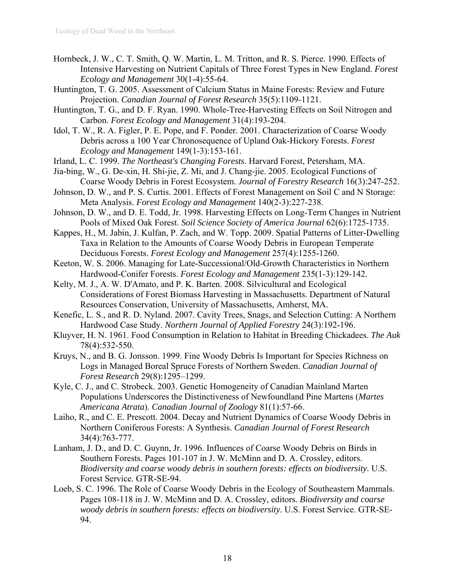- Hornbeck, J. W., C. T. Smith, Q. W. Martin, L. M. Tritton, and R. S. Pierce. 1990. Effects of Intensive Harvesting on Nutrient Capitals of Three Forest Types in New England. *Forest Ecology and Management* 30(1-4):55-64.
- Huntington, T. G. 2005. Assessment of Calcium Status in Maine Forests: Review and Future Projection. *Canadian Journal of Forest Research* 35(5):1109-1121.
- Huntington, T. G., and D. F. Ryan. 1990. Whole-Tree-Harvesting Effects on Soil Nitrogen and Carbon. *Forest Ecology and Management* 31(4):193-204.
- Idol, T. W., R. A. Figler, P. E. Pope, and F. Ponder. 2001. Characterization of Coarse Woody Debris across a 100 Year Chronosequence of Upland Oak-Hickory Forests. *Forest Ecology and Management* 149(1-3):153-161.
- Irland, L. C. 1999. *The Northeast's Changing Forests*. Harvard Forest, Petersham, MA.
- Jia-bing, W., G. De-xin, H. Shi-jie, Z. Mi, and J. Chang-jie. 2005. Ecological Functions of Coarse Woody Debris in Forest Ecosystem. *Journal of Forestry Research* 16(3):247-252.
- Johnson, D. W., and P. S. Curtis. 2001. Effects of Forest Management on Soil C and N Storage: Meta Analysis. *Forest Ecology and Management* 140(2-3):227-238.
- Johnson, D. W., and D. E. Todd, Jr. 1998. Harvesting Effects on Long-Term Changes in Nutrient Pools of Mixed Oak Forest. *Soil Science Society of America Journal* 62(6):1725-1735.
- Kappes, H., M. Jabin, J. Kulfan, P. Zach, and W. Topp. 2009. Spatial Patterns of Litter-Dwelling Taxa in Relation to the Amounts of Coarse Woody Debris in European Temperate Deciduous Forests. *Forest Ecology and Management* 257(4):1255-1260.
- Keeton, W. S. 2006. Managing for Late-Successional/Old-Growth Characteristics in Northern Hardwood-Conifer Forests. *Forest Ecology and Management* 235(1-3):129-142.
- Kelty, M. J., A. W. D'Amato, and P. K. Barten. 2008. Silvicultural and Ecological Considerations of Forest Biomass Harvesting in Massachusetts. Department of Natural Resources Conservation, University of Massachusetts, Amherst, MA.
- Kenefic, L. S., and R. D. Nyland. 2007. Cavity Trees, Snags, and Selection Cutting: A Northern Hardwood Case Study. *Northern Journal of Applied Forestry* 24(3):192-196.
- Kluyver, H. N. 1961. Food Consumption in Relation to Habitat in Breeding Chickadees. *The Auk* 78(4):532-550.
- Kruys, N., and B. G. Jonsson. 1999. Fine Woody Debris Is Important for Species Richness on Logs in Managed Boreal Spruce Forests of Northern Sweden. *Canadian Journal of Forest Research* 29(8):1295–1299.
- Kyle, C. J., and C. Strobeck. 2003. Genetic Homogeneity of Canadian Mainland Marten Populations Underscores the Distinctiveness of Newfoundland Pine Martens (*Martes Americana Atrata*). *Canadian Journal of Zoology* 81(1):57-66.
- Laiho, R., and C. E. Prescott. 2004. Decay and Nutrient Dynamics of Coarse Woody Debris in Northern Coniferous Forests: A Synthesis. *Canadian Journal of Forest Research* 34(4):763-777.
- Lanham, J. D., and D. C. Guynn, Jr. 1996. Influences of Coarse Woody Debris on Birds in Southern Forests. Pages 101-107 in J. W. McMinn and D. A. Crossley, editors. *Biodiversity and coarse woody debris in southern forests: effects on biodiversity*. U.S. Forest Service. GTR-SE-94.
- Loeb, S. C. 1996. The Role of Coarse Woody Debris in the Ecology of Southeastern Mammals. Pages 108-118 in J. W. McMinn and D. A. Crossley, editors. *Biodiversity and coarse woody debris in southern forests: effects on biodiversity*. U.S. Forest Service. GTR-SE-94.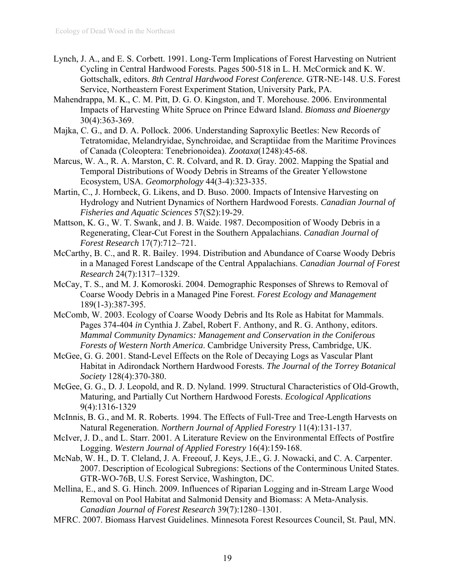- Lynch, J. A., and E. S. Corbett. 1991. Long-Term Implications of Forest Harvesting on Nutrient Cycling in Central Hardwood Forests. Pages 500-518 in L. H. McCormick and K. W. Gottschalk, editors. *8th Central Hardwood Forest Conference.* GTR-NE-148. U.S. Forest Service, Northeastern Forest Experiment Station, University Park, PA.
- Mahendrappa, M. K., C. M. Pitt, D. G. O. Kingston, and T. Morehouse. 2006. Environmental Impacts of Harvesting White Spruce on Prince Edward Island. *Biomass and Bioenergy* 30(4):363-369.
- Majka, C. G., and D. A. Pollock. 2006. Understanding Saproxylic Beetles: New Records of Tetratomidae, Melandryidae, Synchroidae, and Scraptiidae from the Maritime Provinces of Canada (Coleoptera: Tenebrionoidea). *Zootaxa*(1248):45-68.
- Marcus, W. A., R. A. Marston, C. R. Colvard, and R. D. Gray. 2002. Mapping the Spatial and Temporal Distributions of Woody Debris in Streams of the Greater Yellowstone Ecosystem, USA. *Geomorphology* 44(3-4):323-335.
- Martin, C., J. Hornbeck, G. Likens, and D. Buso. 2000. Impacts of Intensive Harvesting on Hydrology and Nutrient Dynamics of Northern Hardwood Forests. *Canadian Journal of Fisheries and Aquatic Sciences* 57(S2):19-29.
- Mattson, K. G., W. T. Swank, and J. B. Waide. 1987. Decomposition of Woody Debris in a Regenerating, Clear-Cut Forest in the Southern Appalachians. *Canadian Journal of Forest Research* 17(7):712–721.
- McCarthy, B. C., and R. R. Bailey. 1994. Distribution and Abundance of Coarse Woody Debris in a Managed Forest Landscape of the Central Appalachians. *Canadian Journal of Forest Research* 24(7):1317–1329.
- McCay, T. S., and M. J. Komoroski. 2004. Demographic Responses of Shrews to Removal of Coarse Woody Debris in a Managed Pine Forest. *Forest Ecology and Management* 189(1-3):387-395.
- McComb, W. 2003. Ecology of Coarse Woody Debris and Its Role as Habitat for Mammals. Pages 374-404 *in* Cynthia J. Zabel, Robert F. Anthony, and R. G. Anthony, editors. *Mammal Community Dynamics: Management and Conservation in the Coniferous Forests of Western North America*. Cambridge University Press, Cambridge, UK.
- McGee, G. G. 2001. Stand-Level Effects on the Role of Decaying Logs as Vascular Plant Habitat in Adirondack Northern Hardwood Forests. *The Journal of the Torrey Botanical Society* 128(4):370-380.
- McGee, G. G., D. J. Leopold, and R. D. Nyland. 1999. Structural Characteristics of Old-Growth, Maturing, and Partially Cut Northern Hardwood Forests. *Ecological Applications* 9(4):1316-1329
- McInnis, B. G., and M. R. Roberts. 1994. The Effects of Full-Tree and Tree-Length Harvests on Natural Regeneration. *Northern Journal of Applied Forestry* 11(4):131-137.
- McIver, J. D., and L. Starr. 2001. A Literature Review on the Environmental Effects of Postfire Logging. *Western Journal of Applied Forestry* 16(4):159-168.
- McNab, W. H., D. T. Cleland, J. A. Freeouf, J. Keys, J.E., G. J. Nowacki, and C. A. Carpenter. 2007. Description of Ecological Subregions: Sections of the Conterminous United States. GTR-WO-76B, U.S. Forest Service, Washington, DC.
- Mellina, E., and S. G. Hinch. 2009. Influences of Riparian Logging and in-Stream Large Wood Removal on Pool Habitat and Salmonid Density and Biomass: A Meta-Analysis. *Canadian Journal of Forest Research* 39(7):1280–1301.
- MFRC. 2007. Biomass Harvest Guidelines. Minnesota Forest Resources Council, St. Paul, MN.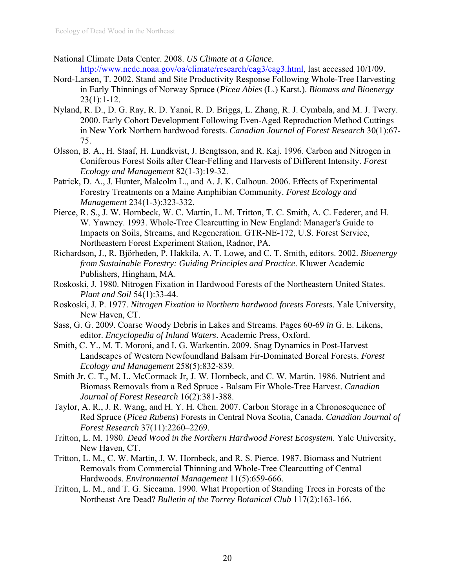- National Climate Data Center. 2008. *US Climate at a Glance*. <http://www.ncdc.noaa.gov/oa/climate/research/cag3/cag3.html>, last accessed 10/1/09.
- Nord-Larsen, T. 2002. Stand and Site Productivity Response Following Whole-Tree Harvesting in Early Thinnings of Norway Spruce (*Picea Abies* (L.) Karst.). *Biomass and Bioenergy*  $23(1):1-12.$
- Nyland, R. D., D. G. Ray, R. D. Yanai, R. D. Briggs, L. Zhang, R. J. Cymbala, and M. J. Twery. 2000. Early Cohort Development Following Even-Aged Reproduction Method Cuttings in New York Northern hardwood forests. *Canadian Journal of Forest Research* 30(1):67- 75.
- Olsson, B. A., H. Staaf, H. Lundkvist, J. Bengtsson, and R. Kaj. 1996. Carbon and Nitrogen in Coniferous Forest Soils after Clear-Felling and Harvests of Different Intensity. *Forest Ecology and Management* 82(1-3):19-32.
- Patrick, D. A., J. Hunter, Malcolm L., and A. J. K. Calhoun. 2006. Effects of Experimental Forestry Treatments on a Maine Amphibian Community. *Forest Ecology and Management* 234(1-3):323-332.
- Pierce, R. S., J. W. Hornbeck, W. C. Martin, L. M. Tritton, T. C. Smith, A. C. Federer, and H. W. Yawney. 1993. Whole-Tree Clearcutting in New England: Manager's Guide to Impacts on Soils, Streams, and Regeneration. GTR-NE-172, U.S. Forest Service, Northeastern Forest Experiment Station, Radnor, PA.
- Richardson, J., R. Björheden, P. Hakkila, A. T. Lowe, and C. T. Smith, editors. 2002. *Bioenergy from Sustainable Forestry: Guiding Principles and Practice*. Kluwer Academic Publishers, Hingham, MA.
- Roskoski, J. 1980. Nitrogen Fixation in Hardwood Forests of the Northeastern United States. *Plant and Soil* 54(1):33-44.
- Roskoski, J. P. 1977. *Nitrogen Fixation in Northern hardwood forests Forests*. Yale University, New Haven, CT.
- Sass, G. G. 2009. Coarse Woody Debris in Lakes and Streams. Pages 60-69 *in* G. E. Likens, editor. *Encyclopedia of Inland Waters*. Academic Press, Oxford.
- Smith, C. Y., M. T. Moroni, and I. G. Warkentin. 2009. Snag Dynamics in Post-Harvest Landscapes of Western Newfoundland Balsam Fir-Dominated Boreal Forests. *Forest Ecology and Management* 258(5):832-839.
- Smith Jr, C. T., M. L. McCormack Jr, J. W. Hornbeck, and C. W. Martin. 1986. Nutrient and Biomass Removals from a Red Spruce - Balsam Fir Whole-Tree Harvest. *Canadian Journal of Forest Research* 16(2):381-388.
- Taylor, A. R., J. R. Wang, and H. Y. H. Chen. 2007. Carbon Storage in a Chronosequence of Red Spruce (*Picea Rubens*) Forests in Central Nova Scotia, Canada. *Canadian Journal of Forest Research* 37(11):2260–2269.
- Tritton, L. M. 1980. *Dead Wood in the Northern Hardwood Forest Ecosystem*. Yale University, New Haven, CT.
- Tritton, L. M., C. W. Martin, J. W. Hornbeck, and R. S. Pierce. 1987. Biomass and Nutrient Removals from Commercial Thinning and Whole-Tree Clearcutting of Central Hardwoods. *Environmental Management* 11(5):659-666.
- Tritton, L. M., and T. G. Siccama. 1990. What Proportion of Standing Trees in Forests of the Northeast Are Dead? *Bulletin of the Torrey Botanical Club* 117(2):163-166.